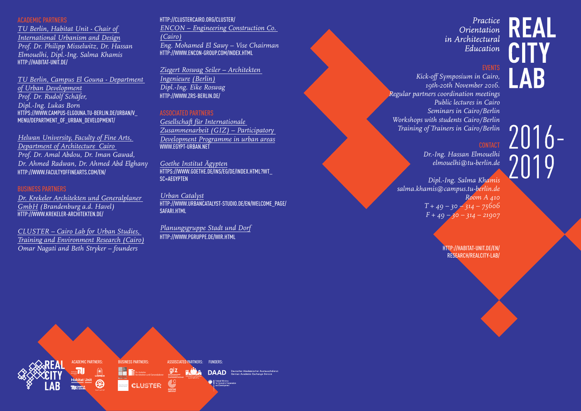### ACADEMIC PARTNERS

*TU Berlin, Habitat Unit - Chair of International Urbanism and Design Prof. Dr. Philipp Misselwitz, Dr. Hassan Elmouelhi, Dipl.-Ing. Salma Khamis* [HTTP://HABITAT-UNIT.DE/](http://habitat-unit.de/)

*TU Berlin, Campus El Gouna - Department of Urban Development Prof. Dr. Rudolf Schäfer, Dipl.-Ing. Lukas Born* [HTTPS://WWW.CAMPUS-ELGOUNA.TU-BERLIN.DE/URBAN/V\\_](https://www.campus-elgouna.tu-berlin.de/urban/v_menu/department_of_urban_development/) [MENU/DEPARTMENT\\_OF\\_URBAN\\_DEVELOPMENT/](https://www.campus-elgouna.tu-berlin.de/urban/v_menu/department_of_urban_development/)

*Helwan University, Faculty of Fine Arts, Department of Architecture Cairo Prof. Dr. Amal Abdou, Dr. Iman Gawad, Dr. Ahmed Radwan, Dr. Ahmed Abd Elghany*  [HTTP://WWW.FACULTYOFFINEARTS.COM/EN/](http://www.facultyoffinearts.com/en/)

### BUSINESS PARTNERS

*Dr. Krekeler Architekten und Generalplaner GmbH (Brandenburg a.d. Havel)*  [HTTP://WWW.KREKELER-ARCHITEKTEN.DE/](http://www.krekeler-architekten.de/)

*CLUSTER – Cairo Lab for Urban Studies, Training and Environment Research (Cairo) Omar Nagati and Beth Stryker – founders*

#### [HTTP://CLUSTERCAIRO.ORG/CLUSTER/](http://clustercairo.org/cluster/)

*ENCON – Engineering Construction Co. (Cairo) Eng. Mohamed El Sawy – Vise Chairman*  [HTTP://WWW.ENCON-GROUP.COM/INDEX.HTML](http://www.encon-group.com/index.html)

*Ziegert Roswag Seiler – Architekten Ingenieure (Berlin) Dipl.-Ing. Eike Roswag*  [HTTP://WWW.ZRS-BERLIN.DE/](http://www.zrs-berlin.de/)

### ASSOCIATED PARTNERS

*Gesellschaft für Internationale Zusammenarbeit (GIZ) – Participatory Development Programme in urban areas* WWW.FGYPT-URBAN.NFT

*Goethe Institut Ägypten* [HTTPS://WWW.GOETHE.DE/INS/EG/DE/INDEX.HTML?WT\\_](https://www.goethe.de/ins/eg/de/index.html?wt_sc=aegypten) [SC=AEGYPTEN](https://www.goethe.de/ins/eg/de/index.html?wt_sc=aegypten)

*Urban Catalyst* [HTTP://WWW.URBANCATALYST-STUDIO.DE/EN/WELCOME\\_PAGE/](http://www.urbancatalyst-studio.de/en/welcome_page/safari.html) [SAFARI.HTML](http://www.urbancatalyst-studio.de/en/welcome_page/safari.html)

*Planungsgruppe Stadt und Dorf* [HTTP://WWW.PGRUPPE.DE/WIR.HTML](http://www.pgruppe.de/wir.html)



### EVENTS

**REAL** 

AR

 $2016 -$ 

*Kick-off Symposium in Cairo, 19th-20th November 2016. Regular partners coordination meetings Public lectures in Cairo Seminars in Cairo/Berlin Workshops with students Cairo/Berlin Training of Trainers in Cairo/Berlin*

*Dr.-Ing. Hassan Elmouelhi elmouelhi@tu-berlin.de*

*Dipl.-Ing. Salma Khamis salma.khamis@campus.tu-berlin.de Room A 410 T + 49 – 30 – 314 – 75606 F + 49 – 30 – 314 – 21907*

> [HTTP://HABITAT-UNIT.DE/EN/](http://habitat-unit.de/en/ research/realcity-lab/) [RESEARCH/REALCITY-LAB/](http://habitat-unit.de/en/ research/realcity-lab/)